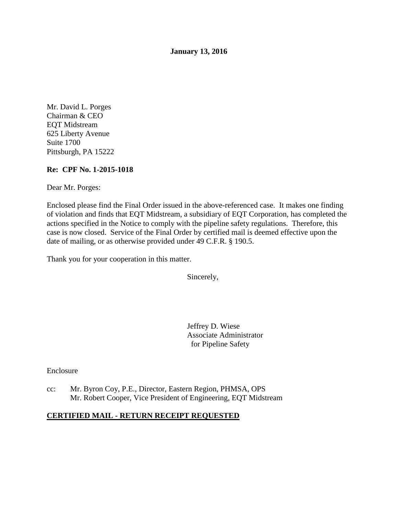**January 13, 2016** 

Mr. David L. Porges Chairman & CEO EQT Midstream 625 Liberty Avenue Suite 1700 Pittsburgh, PA 15222

### **Re: CPF No. 1-2015-1018**

Dear Mr. Porges:

Enclosed please find the Final Order issued in the above-referenced case. It makes one finding of violation and finds that EQT Midstream, a subsidiary of EQT Corporation, has completed the actions specified in the Notice to comply with the pipeline safety regulations. Therefore, this case is now closed. Service of the Final Order by certified mail is deemed effective upon the date of mailing, or as otherwise provided under 49 C.F.R. § 190.5.

Thank you for your cooperation in this matter.

Sincerely,

Jeffrey D. Wiese Associate Administrator for Pipeline Safety

Enclosure

cc: Mr. Byron Coy, P.E., Director, Eastern Region, PHMSA, OPS Mr. Robert Cooper, Vice President of Engineering, EQT Midstream

#### **CERTIFIED MAIL - RETURN RECEIPT REQUESTED**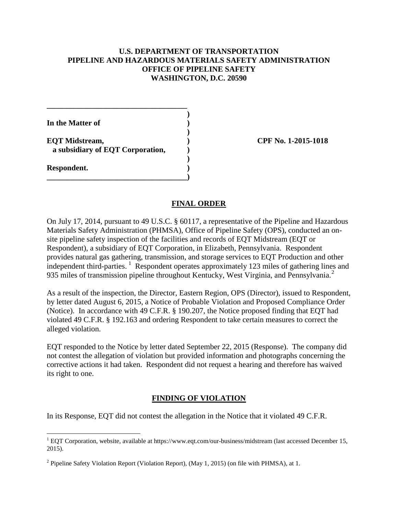#### **U.S. DEPARTMENT OF TRANSPORTATION PIPELINE AND HAZARDOUS MATERIALS SAFETY ADMINISTRATION OFFICE OF PIPELINE SAFETY WASHINGTON, D.C. 20590**

**)** 

**)** 

**)** 

**In the Matter of )** 

**EQT Midstream, ) CPF No. 1-2015-1018 a subsidiary of EQT Corporation, )** 

**\_\_\_\_\_\_\_\_\_\_\_\_\_\_\_\_\_\_\_\_\_\_\_\_\_\_\_\_\_\_\_\_\_\_\_\_)** 

**\_\_\_\_\_\_\_\_\_\_\_\_\_\_\_\_\_\_\_\_\_\_\_\_\_\_\_\_\_\_\_\_\_\_\_\_** 

**Respondent. )** 

### **FINAL ORDER**

On July 17, 2014, pursuant to 49 U.S.C. § 60117, a representative of the Pipeline and Hazardous Materials Safety Administration (PHMSA), Office of Pipeline Safety (OPS), conducted an onsite pipeline safety inspection of the facilities and records of EQT Midstream (EQT or Respondent), a subsidiary of EQT Corporation, in Elizabeth, Pennsylvania. Respondent provides natural gas gathering, transmission, and storage services to EQT Production and other independent third-parties.<sup>1</sup> Respondent operates approximately 123 miles of gathering lines and 935 miles of transmission pipeline throughout Kentucky, West Virginia, and Pennsylvania.<sup>2</sup>

As a result of the inspection, the Director, Eastern Region, OPS (Director), issued to Respondent, by letter dated August 6, 2015, a Notice of Probable Violation and Proposed Compliance Order (Notice). In accordance with 49 C.F.R. § 190.207, the Notice proposed finding that EQT had violated 49 C.F.R. § 192.163 and ordering Respondent to take certain measures to correct the alleged violation.

EQT responded to the Notice by letter dated September 22, 2015 (Response). The company did not contest the allegation of violation but provided information and photographs concerning the corrective actions it had taken. Respondent did not request a hearing and therefore has waived its right to one.

## **FINDING OF VIOLATION**

In its Response, EQT did not contest the allegation in the Notice that it violated 49 C.F.R.

 $\overline{a}$  $1$  EQT Corporation, website, available at https://www.eqt.com/our-business/midstream (last accessed December 15, 2015).

 $2$  Pipeline Safety Violation Report (Violation Report), (May 1, 2015) (on file with PHMSA), at 1.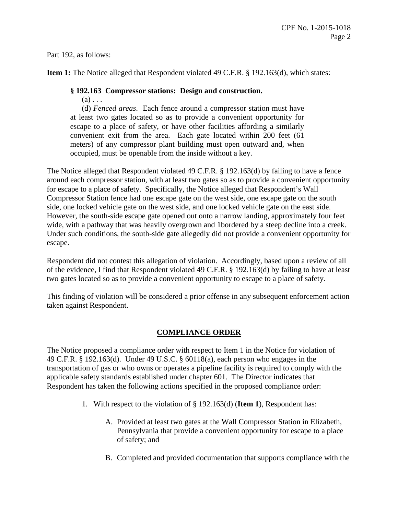Part 192, as follows:

**Item 1:** The Notice alleged that Respondent violated 49 C.F.R. § 192.163(d), which states:

## **§ 192.163 Compressor stations: Design and construction.**

 $(a) \ldots$ 

(d) *Fenced areas*. Each fence around a compressor station must have at least two gates located so as to provide a convenient opportunity for escape to a place of safety, or have other facilities affording a similarly convenient exit from the area. Each gate located within 200 feet (61 meters) of any compressor plant building must open outward and, when occupied, must be openable from the inside without a key.

The Notice alleged that Respondent violated 49 C.F.R. § 192.163(d) by failing to have a fence around each compressor station, with at least two gates so as to provide a convenient opportunity for escape to a place of safety. Specifically, the Notice alleged that Respondent's Wall Compressor Station fence had one escape gate on the west side, one escape gate on the south side, one locked vehicle gate on the west side, and one locked vehicle gate on the east side. However, the south-side escape gate opened out onto a narrow landing, approximately four feet wide, with a pathway that was heavily overgrown and 1bordered by a steep decline into a creek. Under such conditions, the south-side gate allegedly did not provide a convenient opportunity for escape.

Respondent did not contest this allegation of violation. Accordingly, based upon a review of all of the evidence, I find that Respondent violated 49 C.F.R. § 192.163(d) by failing to have at least two gates located so as to provide a convenient opportunity to escape to a place of safety.

This finding of violation will be considered a prior offense in any subsequent enforcement action taken against Respondent.

# **COMPLIANCE ORDER**

The Notice proposed a compliance order with respect to Item 1 in the Notice for violation of 49 C.F.R. § 192.163(d). Under 49 U.S.C. § 60118(a), each person who engages in the transportation of gas or who owns or operates a pipeline facility is required to comply with the applicable safety standards established under chapter 601. The Director indicates that Respondent has taken the following actions specified in the proposed compliance order:

- 1. With respect to the violation of § 192.163(d) (**Item 1**), Respondent has:
	- A. Provided at least two gates at the Wall Compressor Station in Elizabeth, Pennsylvania that provide a convenient opportunity for escape to a place of safety; and
	- B. Completed and provided documentation that supports compliance with the